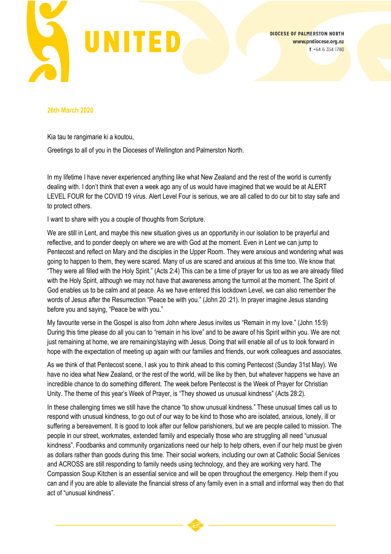

**DIOCESE OF PALMERSTON NORTH** www.pndiocese.org.nz  $T + 6463541780$ 

## **26th March 2020**

Kia tau te rangimarie ki a koutou,

Greetings to all of you in the Dioceses of Wellington and Palmerston North.

In my lifetime I have never experienced anything like what New Zealand and the rest of the world is currently dealing with. I don't think that even a week ago any of us would have imagined that we would be at ALERT LEVEL FOUR for the COVID 19 virus. Alert Level Four is serious, we are all called to do our bit to stay safe and to protect others.

I want to share with you a couple of thoughts from Scripture.

We are still in Lent, and maybe this new situation gives us an opportunity in our isolation to be prayerful and reflective, and to ponder deeply on where we are with God at the moment. Even in Lent we can jump to Pentecost and reflect on Mary and the disciples in the Upper Room. They were anxious and wondering what was going to happen to them, they were scared. Many of us are scared and anxious at this time too. We know that "They were all filled with the Holy Spirit." (Acts 2:4) This can be a time of prayer for us too as we are already filled with the Holy Spirit, although we may not have that awareness among the turmoil at the moment. The Spirit of God enables us to be calm and at peace. As we have entered this lockdown Level, we can also remember the words of Jesus after the Resurrection "Peace be with you." (John 20 :21). In prayer imagine Jesus standing before you and saying, "Peace be with you."

My favourite verse in the Gospel is also from John where Jesus invites us "Remain in my love." (John 15:9) During this time please do all you can to "remain in his love" and to be aware of his Spirit within you. We are not just remaining at home, we are remaining/staying with Jesus. Doing that will enable all of us to look forward in hope with the expectation of meeting up again with our families and friends, our work colleagues and associates.

As we think of that Pentecost scene, I ask you to think ahead to this coming Pentecost (Sunday 31st May). We have no idea what New Zealand, or the rest of the world, will be like by then, but whatever happens we have an incredible chance to do something different. The week before Pentecost is the Week of Prayer for Christian Unity. The theme of this year's Week of Prayer, is "They showed us unusual kindness" (Acts 28:2).

In these challenging times we still have the chance "to show unusual kindness." These unusual times call us to respond with unusual kindness, to go out of our way to be kind to those who are isolated, anxious, lonely, ill or suffering a bereavement. It is good to look after our fellow parishioners, but we are people called to mission. The people in our street, workmates, extended family and especially those who are struggling all need "unusual kindness". Foodbanks and community organizations need our help to help others, even if our help must be given as dollars rather than goods during this time. Their social workers, including our own at Catholic Social Services and ACROSS are still responding to family needs using technology, and they are working very hard. The Compassion Soup Kitchen is an essential service and will be open throughout the emergency. Help them if you can and if you are able to alleviate the financial stress of any family even in a small and informal way then do that act of "unusual kindness".